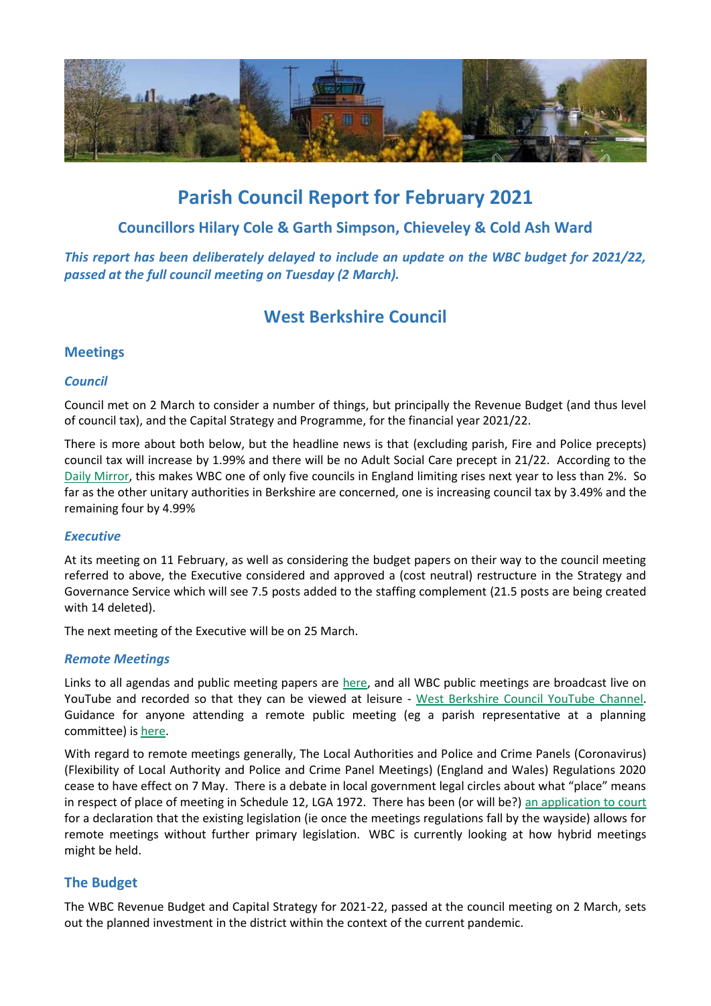

# **Parish Council Report for February 2021**

## **Councillors Hilary Cole & Garth Simpson, Chieveley & Cold Ash Ward**

*This report has been deliberately delayed to include an update on the WBC budget for 2021/22, passed at the full council meeting on Tuesday (2 March).*

## **West Berkshire Council**

## **Meetings**

## *Council*

Council met on 2 March to consider a number of things, but principally the Revenue Budget (and thus level of council tax), and the Capital Strategy and Programme, for the financial year 2021/22.

There is more about both below, but the headline news is that (excluding parish, Fire and Police precepts) council tax will increase by 1.99% and there will be no Adult Social Care precept in 21/22. According to the [Daily Mirror,](https://www.mirror.co.uk/news/politics/council-tax-rise-search-2021-23524917) this makes WBC one of only five councils in England limiting rises next year to less than 2%. So far as the other unitary authorities in Berkshire are concerned, one is increasing council tax by 3.49% and the remaining four by 4.99%

## *Executive*

At its meeting on 11 February, as well as considering the budget papers on their way to the council meeting referred to above, the Executive considered and approved a (cost neutral) restructure in the Strategy and Governance Service which will see 7.5 posts added to the staffing complement (21.5 posts are being created with 14 deleted).

The next meeting of the Executive will be on 25 March.

## *Remote Meetings*

Links to all agendas and public meeting papers are [here,](http://decisionmaking.westberks.gov.uk/) and all WBC public meetings are broadcast live on YouTube and recorded so that they can be viewed at leisure - [West Berkshire Council YouTube](https://www.youtube.com/c/westberkshire) Channel. Guidance for anyone attending a remote public meeting (eg a parish representative at a planning committee) is [here.](https://info.westberks.gov.uk/article/37524)

With regard to remote meetings generally, The Local Authorities and Police and Crime Panels (Coronavirus) (Flexibility of Local Authority and Police and Crime Panel Meetings) (England and Wales) Regulations 2020 cease to have effect on 7 May. There is a debate in local government legal circles about what "place" means in respect of place of meeting in Schedule 12, LGA 1972. There has been (or will be?[\) an application to court](https://www.localgovernmentlawyer.co.uk/governance/396-governance-news/46100-lawyers-and-democratic-services-officers-to-seek-court-declaration-on-ability-to-hold-remote-meetings-after-6-may-2021) for a declaration that the existing legislation (ie once the meetings regulations fall by the wayside) allows for remote meetings without further primary legislation. WBC is currently looking at how hybrid meetings might be held.

## **The Budget**

The WBC Revenue Budget and Capital Strategy for 2021-22, passed at the council meeting on 2 March, sets out the planned investment in the district within the context of the current pandemic.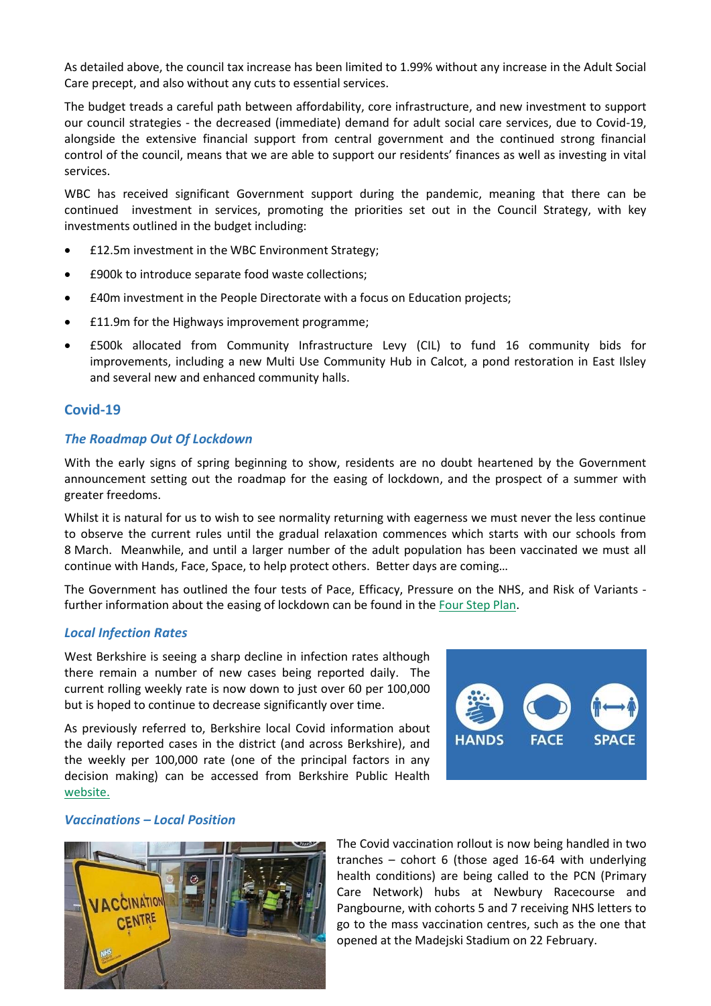As detailed above, the council tax increase has been limited to 1.99% without any increase in the Adult Social Care precept, and also without any cuts to essential services.

The budget treads a careful path between affordability, core infrastructure, and new investment to support our council strategies - the decreased (immediate) demand for adult social care services, due to Covid-19, alongside the extensive financial support from central government and the continued strong financial control of the council, means that we are able to support our residents' finances as well as investing in vital services.

WBC has received significant Government support during the pandemic, meaning that there can be continued investment in services, promoting the priorities set out in the Council Strategy, with key investments outlined in the budget including:

- **•** £12.5m investment in the WBC Environment Strategy;
- £900k to introduce separate food waste collections;
- £40m investment in the People Directorate with a focus on Education projects;
- £11.9m for the Highways improvement programme;
- £500k allocated from Community Infrastructure Levy (CIL) to fund 16 community bids for improvements, including a new Multi Use Community Hub in Calcot, a pond restoration in East Ilsley and several new and enhanced community halls.

#### **Covid-19**

#### *The Roadmap Out Of Lockdown*

With the early signs of spring beginning to show, residents are no doubt heartened by the Government announcement setting out the roadmap for the easing of lockdown, and the prospect of a summer with greater freedoms.

Whilst it is natural for us to wish to see normality returning with eagerness we must never the less continue to observe the current rules until the gradual relaxation commences which starts with our schools from 8 March. Meanwhile, and until a larger number of the adult population has been vaccinated we must all continue with Hands, Face, Space, to help protect others. Better days are coming…

The Government has outlined the four tests of Pace, Efficacy, Pressure on the NHS, and Risk of Variants further information about the easing of lockdown can be found in th[e Four Step Plan.](https://www.gov.uk/government/publications/covid-19-response-spring-2021)

#### *Local Infection Rates*

West Berkshire is seeing a sharp decline in infection rates although there remain a number of new cases being reported daily. The current rolling weekly rate is now down to just over 60 per 100,000 but is hoped to continue to decrease significantly over time.

As previously referred to, Berkshire local Covid information about the daily reported cases in the district (and across Berkshire), and the weekly per 100,000 rate (one of the principal factors in any decision making) can be accessed from Berkshire Public Health [website.](http://www.berkshirepublichealth.co.uk/)



#### *Vaccinations – Local Position*



The Covid vaccination rollout is now being handled in two tranches – cohort 6 (those aged 16-64 with underlying health conditions) are being called to the PCN (Primary Care Network) hubs at Newbury Racecourse and Pangbourne, with cohorts 5 and 7 receiving NHS letters to go to the mass vaccination centres, such as the one that opened at the Madejski Stadium on 22 February.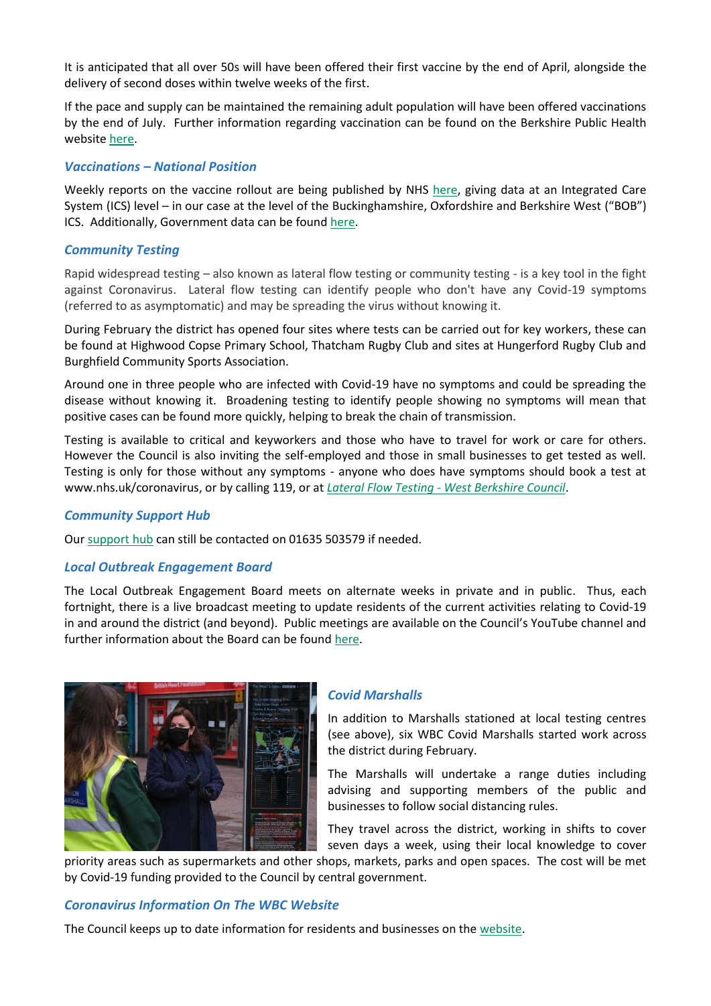It is anticipated that all over 50s will have been offered their first vaccine by the end of April, alongside the delivery of second doses within twelve weeks of the first.

If the pace and supply can be maintained the remaining adult population will have been offered vaccinations by the end of July. Further information regarding vaccination can be found on the Berkshire Public Health websit[e here.](https://www.berkshirepublichealth.co.uk/vaccinations)

### *Vaccinations – National Position*

Weekly reports on the vaccine rollout are being published by NHS [here,](https://www.england.nhs.uk/statistics/statistical-work-areas/covid-19-vaccinations/) giving data at an Integrated Care System (ICS) level – in our case at the level of the Buckinghamshire, Oxfordshire and Berkshire West ("BOB") ICS. Additionally, Government data can be foun[d here.](https://coronavirus.data.gov.uk/details/vaccinations)

## *Community Testing*

Rapid widespread testing – also known as lateral flow testing or community testing - is a key tool in the fight against Coronavirus. Lateral flow testing can identify people who don't have any Covid-19 symptoms (referred to as asymptomatic) and may be spreading the virus without knowing it.

During February the district has opened four sites where tests can be carried out for key workers, these can be found at Highwood Copse Primary School, Thatcham Rugby Club and sites at Hungerford Rugby Club and Burghfield Community Sports Association.

Around one in three people who are infected with Covid-19 have no symptoms and could be spreading the disease without knowing it. Broadening testing to identify people showing no symptoms will mean that positive cases can be found more quickly, helping to break the chain of transmission.

Testing is available to critical and keyworkers and those who have to travel for work or care for others. However the Council is also inviting the self-employed and those in small businesses to get tested as well. Testing is only for those without any symptoms - anyone who does have symptoms should book a test at www.nhs.uk/coronavirus, or by calling 119, or at *Lateral Flow Testing - [West Berkshire Council](https://www.westberks.gov.uk/lft)*.

#### *Community Support Hub*

Our [support hub](https://info.westberks.gov.uk/supporthub) can still be contacted on 01635 503579 if needed.

#### *Local Outbreak Engagement Board*

The Local Outbreak Engagement Board meets on alternate weeks in private and in public. Thus, each fortnight, there is a live broadcast meeting to update residents of the current activities relating to Covid-19 in and around the district (and beyond). Public meetings are available on the Council's YouTube channel and further information about the Board can be found [here.](http://decisionmaking.westberks.gov.uk/mgCommitteeDetails.aspx?ID=528)



## *Covid Marshalls*

In addition to Marshalls stationed at local testing centres (see above), six WBC Covid Marshalls started work across the district during February.

The Marshalls will undertake a range duties including advising and supporting members of the public and businesses to follow social distancing rules.

They travel across the district, working in shifts to cover seven days a week, using their local knowledge to cover

priority areas such as supermarkets and other shops, markets, parks and open spaces. The cost will be met by Covid-19 funding provided to the Council by central government.

## *Coronavirus Information On The WBC Website*

The Council keeps up to date information for residents and businesses on the [website.](https://info.westberks.gov.uk/coronavirus-support)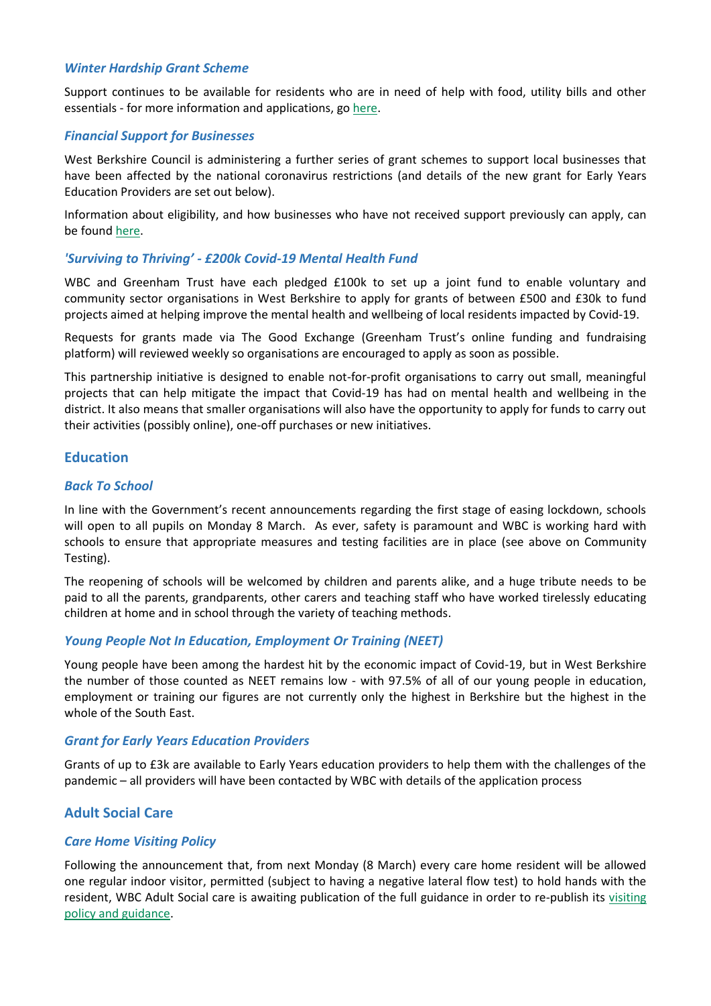#### *Winter Hardship Grant Scheme*

Support continues to be available for residents who are in need of help with food, utility bills and other essentials - for more information and applications, g[o here.](https://www.westberks.gov.uk/article/37697/Apply-for-a-COVID-Winter-Grant)

#### *Financial Support for Businesses*

West Berkshire Council is administering a further series of grant schemes to support local businesses that have been affected by the national coronavirus restrictions (and details of the new grant for Early Years Education Providers are set out below).

Information about eligibility, and how businesses who have not received support previously can apply, can be found [here.](https://info.westberks.gov.uk/coronavirus-business)

### *'Surviving to Thriving' - £200k Covid-19 Mental Health Fund*

WBC and Greenham Trust have each pledged £100k to set up a joint fund to enable voluntary and community sector organisations in West Berkshire to apply for grants of between £500 and £30k to fund projects aimed at helping improve the mental health and wellbeing of local residents impacted by Covid-19.

Requests for grants made via The Good Exchange (Greenham Trust's online funding and fundraising platform) will reviewed weekly so organisations are encouraged to apply as soon as possible.

This partnership initiative is designed to enable not-for-profit organisations to carry out small, meaningful projects that can help mitigate the impact that Covid-19 has had on mental health and wellbeing in the district. It also means that smaller organisations will also have the opportunity to apply for funds to carry out their activities (possibly online), one-off purchases or new initiatives.

### **Education**

#### *Back To School*

In line with the Government's recent announcements regarding the first stage of easing lockdown, schools will open to all pupils on Monday 8 March. As ever, safety is paramount and WBC is working hard with schools to ensure that appropriate measures and testing facilities are in place (see above on Community Testing).

The reopening of schools will be welcomed by children and parents alike, and a huge tribute needs to be paid to all the parents, grandparents, other carers and teaching staff who have worked tirelessly educating children at home and in school through the variety of teaching methods.

#### *Young People Not In Education, Employment Or Training (NEET)*

Young people have been among the hardest hit by the economic impact of Covid-19, but in West Berkshire the number of those counted as NEET remains low - with 97.5% of all of our young people in education, employment or training our figures are not currently only the highest in Berkshire but the highest in the whole of the South East.

#### *Grant for Early Years Education Providers*

Grants of up to £3k are available to Early Years education providers to help them with the challenges of the pandemic – all providers will have been contacted by WBC with details of the application process

## **Adult Social Care**

#### *Care Home Visiting Policy*

Following the announcement that, from next Monday (8 March) every care home resident will be allowed one regular indoor visitor, permitted (subject to having a negative lateral flow test) to hold hands with the resident, WBC Adult Social care is awaiting publication of the full guidance in order to re-publish its [visiting](https://www.westberks.gov.uk/media/49075/Care-Home-visitors-protocol/pdf/ASC_Care_Home_visitors_protocol_V3__A4_21.pdf?m=637468334962800000)  [policy and guidance.](https://www.westberks.gov.uk/media/49075/Care-Home-visitors-protocol/pdf/ASC_Care_Home_visitors_protocol_V3__A4_21.pdf?m=637468334962800000)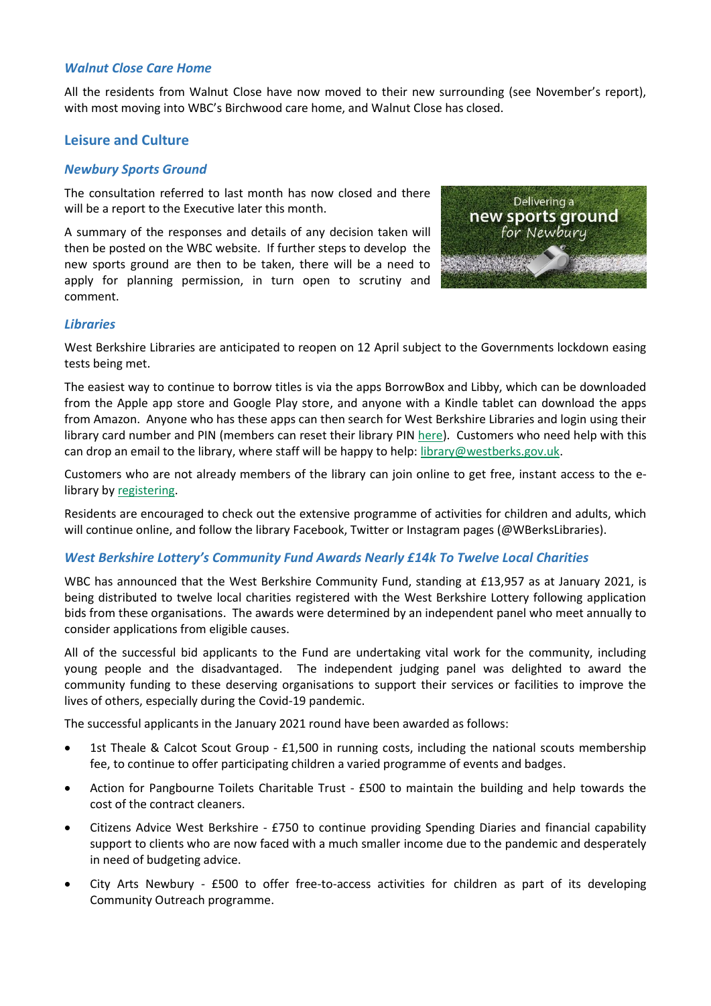#### *Walnut Close Care Home*

All the residents from Walnut Close have now moved to their new surrounding (see November's report), with most moving into WBC's Birchwood care home, and Walnut Close has closed.

## **Leisure and Culture**

#### *Newbury Sports Ground*

The consultation referred to last month has now closed and there will be a report to the Executive later this month.

A summary of the responses and details of any decision taken will then be posted on the WBC website. If further steps to develop the new sports ground are then to be taken, there will be a need to apply for planning permission, in turn open to scrutiny and comment.



#### *Libraries*

West Berkshire Libraries are anticipated to reopen on 12 April subject to the Governments lockdown easing tests being met.

The easiest way to continue to borrow titles is via the apps BorrowBox and Libby, which can be downloaded from the Apple app store and Google Play store, and anyone with a Kindle tablet can download the apps from Amazon. Anyone who has these apps can then search for West Berkshire Libraries and login using their library card number and PIN (members can reset their library PIN [here\)](https://westberks.spydus.co.uk/pin). Customers who need help with this can drop an email to the library, where staff will be happy to help: [library@westberks.gov.uk.](file:///C:/Users/jcooper/AppData/Local/Microsoft/Windows/Temporary%20Internet%20Files/Content.Outlook/WLZSEWNQ/library@westberks.gov.uk)

Customers who are not already members of the library can join online to get free, instant access to the elibrary b[y registering.](http://www.westberks.gov.uk/libraries)

Residents are encouraged to check out the extensive programme of activities for children and adults, which will continue online, and follow the library Facebook, Twitter or Instagram pages (@WBerksLibraries).

### *West Berkshire Lottery's Community Fund Awards Nearly £14k To Twelve Local Charities*

WBC has announced that the West Berkshire Community Fund, standing at £13,957 as at January 2021, is being distributed to twelve local charities registered with the West Berkshire Lottery following application bids from these organisations. The awards were determined by an independent panel who meet annually to consider applications from eligible causes.

All of the successful bid applicants to the Fund are undertaking vital work for the community, including young people and the disadvantaged. The independent judging panel was delighted to award the community funding to these deserving organisations to support their services or facilities to improve the lives of others, especially during the Covid-19 pandemic.

The successful applicants in the January 2021 round have been awarded as follows:

- 1st Theale & Calcot Scout Group £1,500 in running costs, including the national scouts membership fee, to continue to offer participating children a varied programme of events and badges.
- Action for Pangbourne Toilets Charitable Trust £500 to maintain the building and help towards the cost of the contract cleaners.
- Citizens Advice West Berkshire £750 to continue providing Spending Diaries and financial capability support to clients who are now faced with a much smaller income due to the pandemic and desperately in need of budgeting advice.
- City Arts Newbury £500 to offer free-to-access activities for children as part of its developing Community Outreach programme.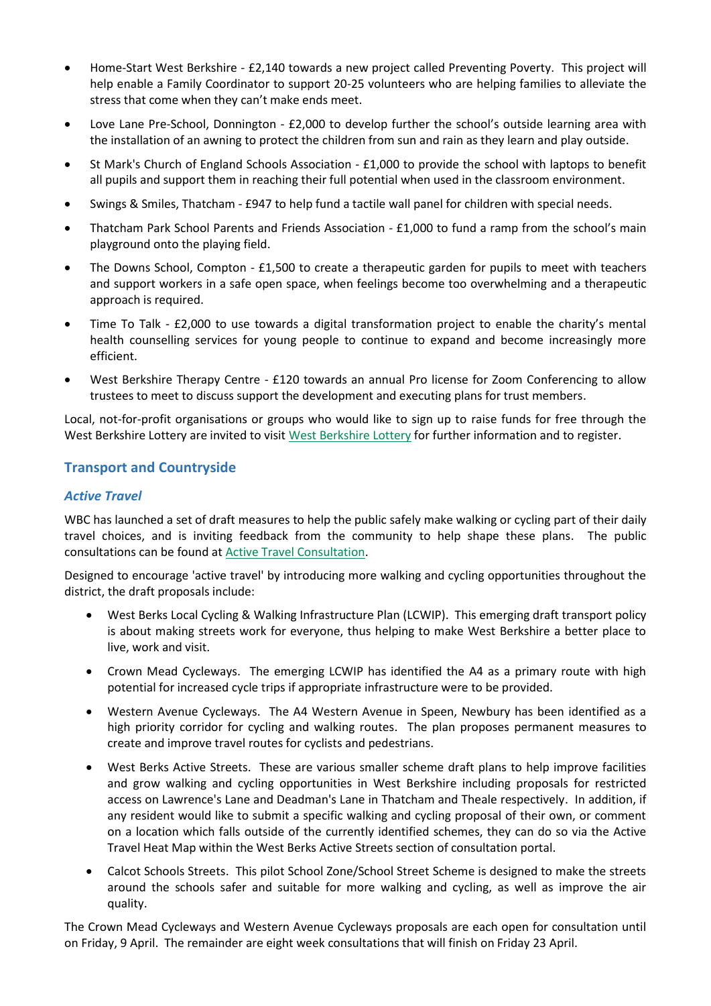- Home-Start West Berkshire £2,140 towards a new project called Preventing Poverty. This project will help enable a Family Coordinator to support 20-25 volunteers who are helping families to alleviate the stress that come when they can't make ends meet.
- Love Lane Pre-School, Donnington £2,000 to develop further the school's outside learning area with the installation of an awning to protect the children from sun and rain as they learn and play outside.
- St Mark's Church of England Schools Association £1,000 to provide the school with laptops to benefit all pupils and support them in reaching their full potential when used in the classroom environment.
- Swings & Smiles, Thatcham £947 to help fund a tactile wall panel for children with special needs.
- Thatcham Park School Parents and Friends Association £1,000 to fund a ramp from the school's main playground onto the playing field.
- The Downs School, Compton £1,500 to create a therapeutic garden for pupils to meet with teachers and support workers in a safe open space, when feelings become too overwhelming and a therapeutic approach is required.
- Time To Talk £2,000 to use towards a digital transformation project to enable the charity's mental health counselling services for young people to continue to expand and become increasingly more efficient.
- West Berkshire Therapy Centre £120 towards an annual Pro license for Zoom Conferencing to allow trustees to meet to discuss support the development and executing plans for trust members.

Local, not-for-profit organisations or groups who would like to sign up to raise funds for free through the West Berkshire Lottery are invited to visi[t West Berkshire Lottery](https://www.westberkshirelottery.co.uk/) for further information and to register.

## **Transport and Countryside**

## *Active Travel*

WBC has launched a set of draft measures to help the public safely make walking or cycling part of their daily travel choices, and is inviting feedback from the community to help shape these plans. The public consultations can be found at [Active Travel Consultation.](https://westberksatschemes.commonplace.is/)

Designed to encourage 'active travel' by introducing more walking and cycling opportunities throughout the district, the draft proposals include:

- West Berks Local Cycling & Walking Infrastructure Plan (LCWIP). This emerging draft transport policy is about making streets work for everyone, thus helping to make West Berkshire a better place to live, work and visit.
- Crown Mead Cycleways. The emerging LCWIP has identified the A4 as a primary route with high potential for increased cycle trips if appropriate infrastructure were to be provided.
- Western Avenue Cycleways. The A4 Western Avenue in Speen, Newbury has been identified as a high priority corridor for cycling and walking routes. The plan proposes permanent measures to create and improve travel routes for cyclists and pedestrians.
- West Berks Active Streets. These are various smaller scheme draft plans to help improve facilities and grow walking and cycling opportunities in West Berkshire including proposals for restricted access on Lawrence's Lane and Deadman's Lane in Thatcham and Theale respectively. In addition, if any resident would like to submit a specific walking and cycling proposal of their own, or comment on a location which falls outside of the currently identified schemes, they can do so via the Active Travel Heat Map within the West Berks Active Streets section of consultation portal.
- Calcot Schools Streets. This pilot School Zone/School Street Scheme is designed to make the streets around the schools safer and suitable for more walking and cycling, as well as improve the air quality.

The Crown Mead Cycleways and Western Avenue Cycleways proposals are each open for consultation until on Friday, 9 April. The remainder are eight week consultations that will finish on Friday 23 April.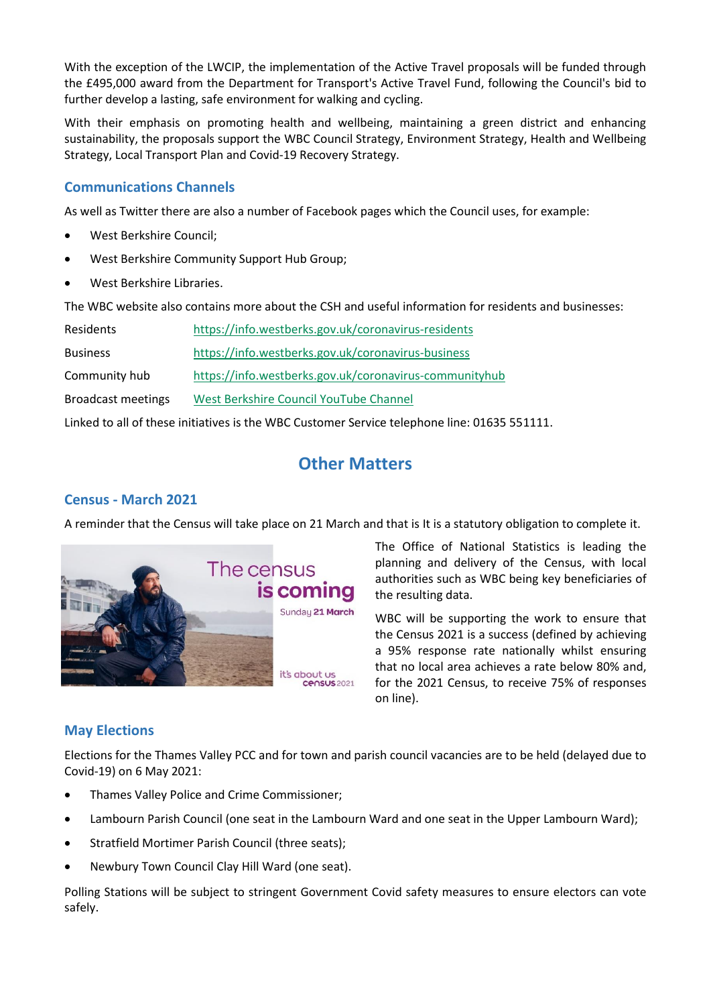With the exception of the LWCIP, the implementation of the Active Travel proposals will be funded through the £495,000 award from the Department for Transport's Active Travel Fund, following the Council's bid to further develop a lasting, safe environment for walking and cycling.

With their emphasis on promoting health and wellbeing, maintaining a green district and enhancing sustainability, the proposals support the WBC Council Strategy, Environment Strategy, Health and Wellbeing Strategy, Local Transport Plan and Covid-19 Recovery Strategy.

## **Communications Channels**

As well as Twitter there are also a number of Facebook pages which the Council uses, for example:

- West Berkshire Council;
- West Berkshire Community Support Hub Group;
- West Berkshire Libraries.

The WBC website also contains more about the CSH and useful information for residents and businesses:

| Residents          | https://info.westberks.gov.uk/coronavirus-residents    |
|--------------------|--------------------------------------------------------|
| <b>Business</b>    | https://info.westberks.gov.uk/coronavirus-business     |
| Community hub      | https://info.westberks.gov.uk/coronavirus-communityhub |
| Broadcast meetings | West Berkshire Council YouTube Channel                 |

Linked to all of these initiatives is the WBC Customer Service telephone line: 01635 551111.

## **Other Matters**

## **Census - March 2021**

A reminder that the Census will take place on 21 March and that is It is a statutory obligation to complete it.



The Office of National Statistics is leading the planning and delivery of the Census, with local authorities such as WBC being key beneficiaries of the resulting data.

WBC will be supporting the work to ensure that the Census 2021 is a success (defined by achieving a 95% response rate nationally whilst ensuring that no local area achieves a rate below 80% and, for the 2021 Census, to receive 75% of responses on line).

## **May Elections**

Elections for the Thames Valley PCC and for town and parish council vacancies are to be held (delayed due to Covid-19) on 6 May 2021:

- Thames Valley Police and Crime Commissioner;
- Lambourn Parish Council (one seat in the Lambourn Ward and one seat in the Upper Lambourn Ward);
- Stratfield Mortimer Parish Council (three seats);
- Newbury Town Council Clay Hill Ward (one seat).

Polling Stations will be subject to stringent Government Covid safety measures to ensure electors can vote safely.